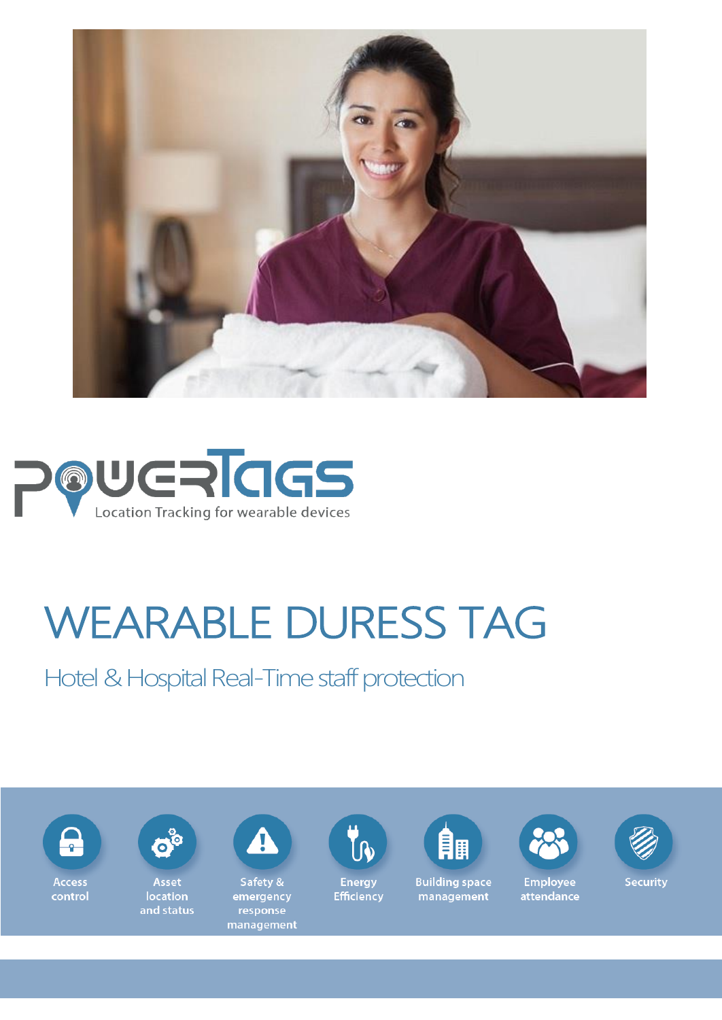



# WEARABLE DURESS TAG

Hotel & Hospital Real-Time staff protection

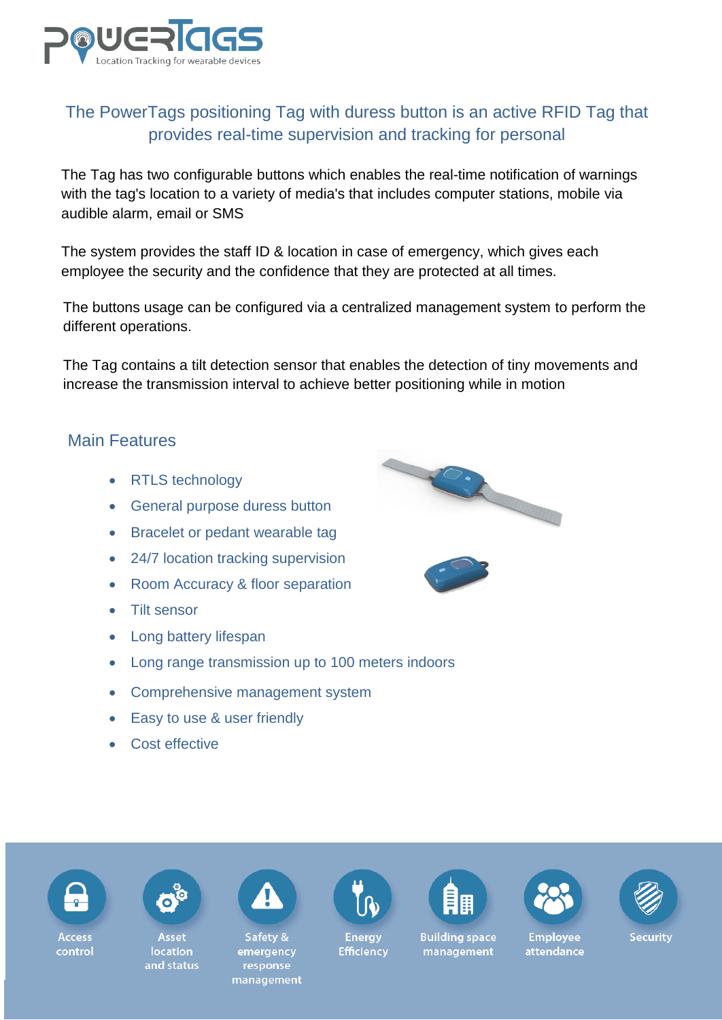

## The PowerTags positioning Tag with duress button is an active RFID Tag that provides real-time supervision and tracking for personal

The Tag has two configurable buttons which enables the real-time notification of warnings with the tag's location to a variety of media's that includes computer stations, mobile via audible alarm, email or SMS

The system provides the staff ID & location in case of emergency, which gives each employee the security and the confidence that they are protected at all times.

The buttons usage can be configured via a centralized management system to perform the different operations.

The Tag contains a tilt detection sensor that enables the detection of tiny movements and increase the transmission interval to achieve better positioning while in motion

### Main Features

- RTLS technology
- General purpose duress button
- Bracelet or pedant wearable tag
- 24/7 location tracking supervision
- Room Accuracy & floor separation
- Tilt sensor
- Long battery lifespan
- Long range transmission up to 100 meters indoors
- Comprehensive management system
- Easy to use & user friendly
- Cost effective







Access control

Asset location and status



Safetv & emergency response management



**Energy Efficiency** 



**Building space** 

management





**Employee** 

attendance



**Security**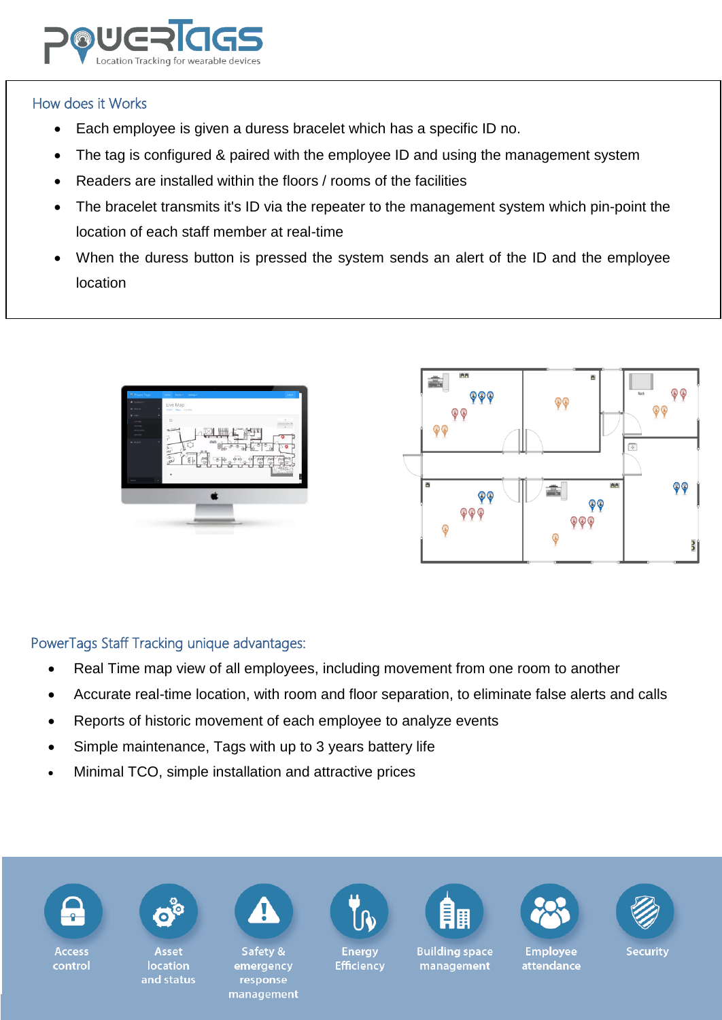

#### How does it Works

- Each employee is given a duress bracelet which has a specific ID no.
- The tag is configured & paired with the employee ID and using the management system
- Readers are installed within the floors / rooms of the facilities
- The bracelet transmits it's ID via the repeater to the management system which pin-point the location of each staff member at real-time
- When the duress button is pressed the system sends an alert of the ID and the employee location





#### PowerTags Staff Tracking unique advantages:

- Real Time map view of all employees, including movement from one room to another
- Accurate real-time location, with room and floor separation, to eliminate false alerts and calls
- Reports of historic movement of each employee to analyze events
- Simple maintenance, Tags with up to 3 years battery life
- Minimal TCO, simple installation and attractive prices